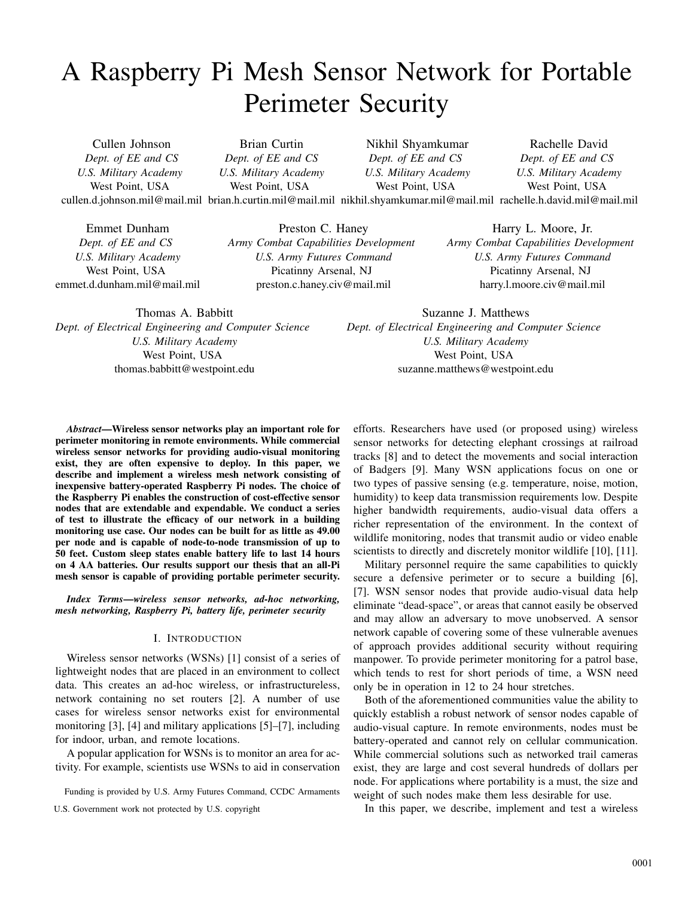# A Raspberry Pi Mesh Sensor Network for Portable Perimeter Security

Cullen Johnson *Dept. of EE and CS U.S. Military Academy* West Point, USA cullen.d.johnson.mil@mail.mil brian.h.curtin.mil@mail.mil nikhil.shyamkumar.mil@mail.mil rachelle.h.david.mil@mail.mil Brian Curtin *Dept. of EE and CS U.S. Military Academy* West Point, USA Nikhil Shyamkumar *Dept. of EE and CS U.S. Military Academy* West Point, USA Rachelle David *Dept. of EE and CS U.S. Military Academy* West Point, USA

Emmet Dunham *Dept. of EE and CS U.S. Military Academy* West Point, USA emmet.d.dunham.mil@mail.mil

Preston C. Haney *Army Combat Capabilities Development U.S. Army Futures Command* Picatinny Arsenal, NJ preston.c.haney.civ@mail.mil

Harry L. Moore, Jr. *Army Combat Capabilities Development U.S. Army Futures Command* Picatinny Arsenal, NJ harry.l.moore.civ@mail.mil

Thomas A. Babbitt *Dept. of Electrical Engineering and Computer Science U.S. Military Academy* West Point, USA thomas.babbitt@westpoint.edu

Suzanne J. Matthews *Dept. of Electrical Engineering and Computer Science U.S. Military Academy* West Point, USA suzanne.matthews@westpoint.edu

*Abstract*—Wireless sensor networks play an important role for perimeter monitoring in remote environments. While commercial wireless sensor networks for providing audio-visual monitoring exist, they are often expensive to deploy. In this paper, we describe and implement a wireless mesh network consisting of inexpensive battery-operated Raspberry Pi nodes. The choice of the Raspberry Pi enables the construction of cost-effective sensor nodes that are extendable and expendable. We conduct a series of test to illustrate the efficacy of our network in a building monitoring use case. Our nodes can be built for as little as 49.00 per node and is capable of node-to-node transmission of up to 50 feet. Custom sleep states enable battery life to last 14 hours on 4 AA batteries. Our results support our thesis that an all-Pi mesh sensor is capable of providing portable perimeter security.

*Index Terms*—*wireless sensor networks, ad-hoc networking, mesh networking, Raspberry Pi, battery life, perimeter security*

# I. INTRODUCTION

Wireless sensor networks (WSNs) [1] consist of a series of lightweight nodes that are placed in an environment to collect data. This creates an ad-hoc wireless, or infrastructureless, network containing no set routers [2]. A number of use cases for wireless sensor networks exist for environmental monitoring [3], [4] and military applications [5]–[7], including for indoor, urban, and remote locations.

A popular application for WSNs is to monitor an area for activity. For example, scientists use WSNs to aid in conservation

Funding is provided by U.S. Army Futures Command, CCDC Armaments

efforts. Researchers have used (or proposed using) wireless sensor networks for detecting elephant crossings at railroad tracks [8] and to detect the movements and social interaction of Badgers [9]. Many WSN applications focus on one or two types of passive sensing (e.g. temperature, noise, motion, humidity) to keep data transmission requirements low. Despite higher bandwidth requirements, audio-visual data offers a richer representation of the environment. In the context of wildlife monitoring, nodes that transmit audio or video enable scientists to directly and discretely monitor wildlife [10], [11].

Military personnel require the same capabilities to quickly secure a defensive perimeter or to secure a building [6], [7]. WSN sensor nodes that provide audio-visual data help eliminate "dead-space", or areas that cannot easily be observed and may allow an adversary to move unobserved. A sensor network capable of covering some of these vulnerable avenues of approach provides additional security without requiring manpower. To provide perimeter monitoring for a patrol base, which tends to rest for short periods of time, a WSN need only be in operation in 12 to 24 hour stretches.

Both of the aforementioned communities value the ability to quickly establish a robust network of sensor nodes capable of audio-visual capture. In remote environments, nodes must be battery-operated and cannot rely on cellular communication. While commercial solutions such as networked trail cameras exist, they are large and cost several hundreds of dollars per node. For applications where portability is a must, the size and weight of such nodes make them less desirable for use.

U.S. Government work not protected by U.S. copyright In this paper, we describe, implement and test a wireless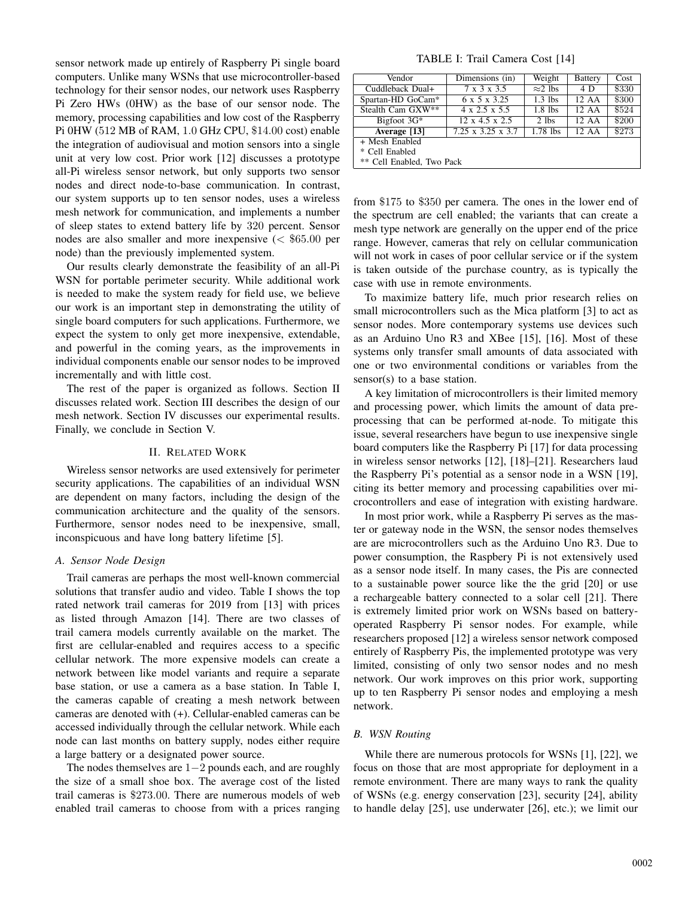sensor network made up entirely of Raspberry Pi single board computers. Unlike many WSNs that use microcontroller-based technology for their sensor nodes, our network uses Raspberry Pi Zero HWs (0HW) as the base of our sensor node. The memory, processing capabilities and low cost of the Raspberry Pi 0HW (512 MB of RAM, 1.0 GHz CPU, \$14.00 cost) enable the integration of audiovisual and motion sensors into a single unit at very low cost. Prior work [12] discusses a prototype all-Pi wireless sensor network, but only supports two sensor nodes and direct node-to-base communication. In contrast, our system supports up to ten sensor nodes, uses a wireless mesh network for communication, and implements a number of sleep states to extend battery life by 320 percent. Sensor nodes are also smaller and more inexpensive  $\ll$  \$65.00 per node) than the previously implemented system.

Our results clearly demonstrate the feasibility of an all-Pi WSN for portable perimeter security. While additional work is needed to make the system ready for field use, we believe our work is an important step in demonstrating the utility of single board computers for such applications. Furthermore, we expect the system to only get more inexpensive, extendable, and powerful in the coming years, as the improvements in individual components enable our sensor nodes to be improved incrementally and with little cost.

The rest of the paper is organized as follows. Section II discusses related work. Section III describes the design of our mesh network. Section IV discusses our experimental results. Finally, we conclude in Section V.

### II. RELATED WORK

Wireless sensor networks are used extensively for perimeter security applications. The capabilities of an individual WSN are dependent on many factors, including the design of the communication architecture and the quality of the sensors. Furthermore, sensor nodes need to be inexpensive, small, inconspicuous and have long battery lifetime [5].

## *A. Sensor Node Design*

Trail cameras are perhaps the most well-known commercial solutions that transfer audio and video. Table I shows the top rated network trail cameras for 2019 from [13] with prices as listed through Amazon [14]. There are two classes of trail camera models currently available on the market. The first are cellular-enabled and requires access to a specific cellular network. The more expensive models can create a network between like model variants and require a separate base station, or use a camera as a base station. In Table I, the cameras capable of creating a mesh network between cameras are denoted with (+). Cellular-enabled cameras can be accessed individually through the cellular network. While each node can last months on battery supply, nodes either require a large battery or a designated power source.

The nodes themselves are 1−2 pounds each, and are roughly the size of a small shoe box. The average cost of the listed trail cameras is \$273.00. There are numerous models of web enabled trail cameras to choose from with a prices ranging

TABLE I: Trail Camera Cost [14]

| Vendor                    | Dimensions (in)               | Weight          | <b>Battery</b> | Cost  |  |
|---------------------------|-------------------------------|-----------------|----------------|-------|--|
| Cuddleback Dual+          | 7 x 3 x 3.5                   | $\approx$ 2 lbs | 4 D            | \$330 |  |
| Spartan-HD GoCam*         | $6 \times 5 \times 3.25$      | $1.3$ lbs       | 12 AA          | \$300 |  |
| Stealth Cam GXW**         | $4 \times 2.5 \times 5.5$     | $1.8$ lbs       | 12 AA          | \$524 |  |
| Bigfoot $3G^*$            | $12 \times 4.5 \times 2.5$    | $2$ lbs         | 12 AA          | \$200 |  |
| Average [13]              | $7.25 \times 3.25 \times 3.7$ | $1.78$ lbs      | 12 AA          | \$273 |  |
| + Mesh Enabled            |                               |                 |                |       |  |
| * Cell Enabled            |                               |                 |                |       |  |
| ** Cell Enabled. Two Pack |                               |                 |                |       |  |

from \$175 to \$350 per camera. The ones in the lower end of the spectrum are cell enabled; the variants that can create a mesh type network are generally on the upper end of the price range. However, cameras that rely on cellular communication will not work in cases of poor cellular service or if the system is taken outside of the purchase country, as is typically the case with use in remote environments.

To maximize battery life, much prior research relies on small microcontrollers such as the Mica platform [3] to act as sensor nodes. More contemporary systems use devices such as an Arduino Uno R3 and XBee [15], [16]. Most of these systems only transfer small amounts of data associated with one or two environmental conditions or variables from the sensor(s) to a base station.

A key limitation of microcontrollers is their limited memory and processing power, which limits the amount of data preprocessing that can be performed at-node. To mitigate this issue, several researchers have begun to use inexpensive single board computers like the Raspberry Pi [17] for data processing in wireless sensor networks [12], [18]–[21]. Researchers laud the Raspberry Pi's potential as a sensor node in a WSN [19], citing its better memory and processing capabilities over microcontrollers and ease of integration with existing hardware.

In most prior work, while a Raspberry Pi serves as the master or gateway node in the WSN, the sensor nodes themselves are are microcontrollers such as the Arduino Uno R3. Due to power consumption, the Raspbery Pi is not extensively used as a sensor node itself. In many cases, the Pis are connected to a sustainable power source like the the grid [20] or use a rechargeable battery connected to a solar cell [21]. There is extremely limited prior work on WSNs based on batteryoperated Raspberry Pi sensor nodes. For example, while researchers proposed [12] a wireless sensor network composed entirely of Raspberry Pis, the implemented prototype was very limited, consisting of only two sensor nodes and no mesh network. Our work improves on this prior work, supporting up to ten Raspberry Pi sensor nodes and employing a mesh network.

## *B. WSN Routing*

While there are numerous protocols for WSNs [1], [22], we focus on those that are most appropriate for deployment in a remote environment. There are many ways to rank the quality of WSNs (e.g. energy conservation [23], security [24], ability to handle delay [25], use underwater [26], etc.); we limit our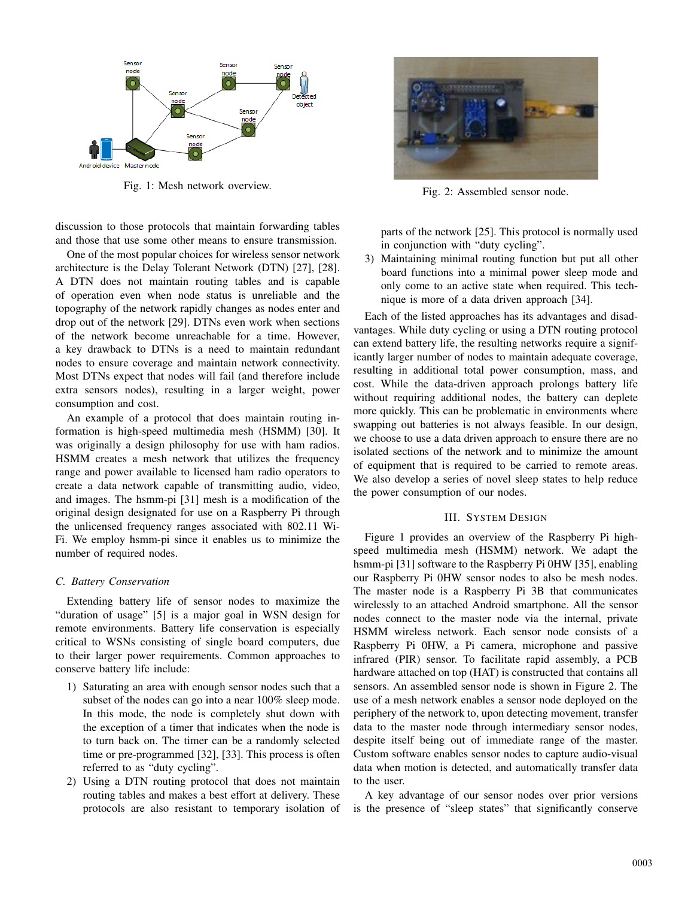

Fig. 1: Mesh network overview.

discussion to those protocols that maintain forwarding tables and those that use some other means to ensure transmission.

One of the most popular choices for wireless sensor network architecture is the Delay Tolerant Network (DTN) [27], [28]. A DTN does not maintain routing tables and is capable of operation even when node status is unreliable and the topography of the network rapidly changes as nodes enter and drop out of the network [29]. DTNs even work when sections of the network become unreachable for a time. However, a key drawback to DTNs is a need to maintain redundant nodes to ensure coverage and maintain network connectivity. Most DTNs expect that nodes will fail (and therefore include extra sensors nodes), resulting in a larger weight, power consumption and cost.

An example of a protocol that does maintain routing information is high-speed multimedia mesh (HSMM) [30]. It was originally a design philosophy for use with ham radios. HSMM creates a mesh network that utilizes the frequency range and power available to licensed ham radio operators to create a data network capable of transmitting audio, video, and images. The hsmm-pi [31] mesh is a modification of the original design designated for use on a Raspberry Pi through the unlicensed frequency ranges associated with 802.11 Wi-Fi. We employ hsmm-pi since it enables us to minimize the number of required nodes.

## *C. Battery Conservation*

Extending battery life of sensor nodes to maximize the "duration of usage" [5] is a major goal in WSN design for remote environments. Battery life conservation is especially critical to WSNs consisting of single board computers, due to their larger power requirements. Common approaches to conserve battery life include:

- 1) Saturating an area with enough sensor nodes such that a subset of the nodes can go into a near 100% sleep mode. In this mode, the node is completely shut down with the exception of a timer that indicates when the node is to turn back on. The timer can be a randomly selected time or pre-programmed [32], [33]. This process is often referred to as "duty cycling".
- 2) Using a DTN routing protocol that does not maintain routing tables and makes a best effort at delivery. These protocols are also resistant to temporary isolation of



Fig. 2: Assembled sensor node.

parts of the network [25]. This protocol is normally used in conjunction with "duty cycling".

3) Maintaining minimal routing function but put all other board functions into a minimal power sleep mode and only come to an active state when required. This technique is more of a data driven approach [34].

Each of the listed approaches has its advantages and disadvantages. While duty cycling or using a DTN routing protocol can extend battery life, the resulting networks require a significantly larger number of nodes to maintain adequate coverage, resulting in additional total power consumption, mass, and cost. While the data-driven approach prolongs battery life without requiring additional nodes, the battery can deplete more quickly. This can be problematic in environments where swapping out batteries is not always feasible. In our design, we choose to use a data driven approach to ensure there are no isolated sections of the network and to minimize the amount of equipment that is required to be carried to remote areas. We also develop a series of novel sleep states to help reduce the power consumption of our nodes.

## III. SYSTEM DESIGN

Figure 1 provides an overview of the Raspberry Pi highspeed multimedia mesh (HSMM) network. We adapt the hsmm-pi [31] software to the Raspberry Pi 0HW [35], enabling our Raspberry Pi 0HW sensor nodes to also be mesh nodes. The master node is a Raspberry Pi 3B that communicates wirelessly to an attached Android smartphone. All the sensor nodes connect to the master node via the internal, private HSMM wireless network. Each sensor node consists of a Raspberry Pi 0HW, a Pi camera, microphone and passive infrared (PIR) sensor. To facilitate rapid assembly, a PCB hardware attached on top (HAT) is constructed that contains all sensors. An assembled sensor node is shown in Figure 2. The use of a mesh network enables a sensor node deployed on the periphery of the network to, upon detecting movement, transfer data to the master node through intermediary sensor nodes, despite itself being out of immediate range of the master. Custom software enables sensor nodes to capture audio-visual data when motion is detected, and automatically transfer data to the user.

A key advantage of our sensor nodes over prior versions is the presence of "sleep states" that significantly conserve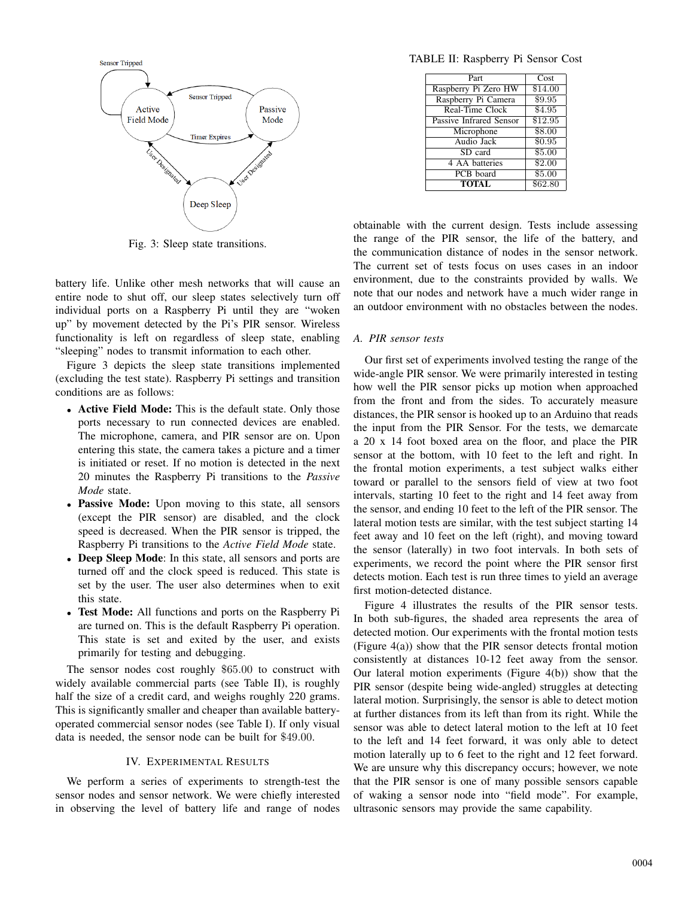

Fig. 3: Sleep state transitions.

battery life. Unlike other mesh networks that will cause an entire node to shut off, our sleep states selectively turn off individual ports on a Raspberry Pi until they are "woken up" by movement detected by the Pi's PIR sensor. Wireless functionality is left on regardless of sleep state, enabling "sleeping" nodes to transmit information to each other.

Figure 3 depicts the sleep state transitions implemented (excluding the test state). Raspberry Pi settings and transition conditions are as follows:

- Active Field Mode: This is the default state. Only those ports necessary to run connected devices are enabled. The microphone, camera, and PIR sensor are on. Upon entering this state, the camera takes a picture and a timer is initiated or reset. If no motion is detected in the next 20 minutes the Raspberry Pi transitions to the *Passive Mode* state.
- Passive Mode: Upon moving to this state, all sensors (except the PIR sensor) are disabled, and the clock speed is decreased. When the PIR sensor is tripped, the Raspberry Pi transitions to the *Active Field Mode* state.
- Deep Sleep Mode: In this state, all sensors and ports are turned off and the clock speed is reduced. This state is set by the user. The user also determines when to exit this state.
- Test Mode: All functions and ports on the Raspberry Pi are turned on. This is the default Raspberry Pi operation. This state is set and exited by the user, and exists primarily for testing and debugging.

The sensor nodes cost roughly \$65.00 to construct with widely available commercial parts (see Table II), is roughly half the size of a credit card, and weighs roughly 220 grams. This is significantly smaller and cheaper than available batteryoperated commercial sensor nodes (see Table I). If only visual data is needed, the sensor node can be built for \$49.00.

# IV. EXPERIMENTAL RESULTS

We perform a series of experiments to strength-test the sensor nodes and sensor network. We were chiefly interested in observing the level of battery life and range of nodes

TABLE II: Raspberry Pi Sensor Cost

| Part                    | Cost    |
|-------------------------|---------|
| Raspberry Pi Zero HW    | \$14.00 |
| Raspberry Pi Camera     | \$9.95  |
| Real-Time Clock         | \$4.95  |
| Passive Infrared Sensor | \$12.95 |
| Microphone              | \$8.00  |
| Audio Jack              | \$0.95  |
| SD card                 | \$5.00  |
| 4 AA batteries          | \$2.00  |
| PCB board               | \$5.00  |
| <b>TOTAL</b>            | \$62.80 |

obtainable with the current design. Tests include assessing the range of the PIR sensor, the life of the battery, and the communication distance of nodes in the sensor network. The current set of tests focus on uses cases in an indoor environment, due to the constraints provided by walls. We note that our nodes and network have a much wider range in an outdoor environment with no obstacles between the nodes.

# *A. PIR sensor tests*

Our first set of experiments involved testing the range of the wide-angle PIR sensor. We were primarily interested in testing how well the PIR sensor picks up motion when approached from the front and from the sides. To accurately measure distances, the PIR sensor is hooked up to an Arduino that reads the input from the PIR Sensor. For the tests, we demarcate a 20 x 14 foot boxed area on the floor, and place the PIR sensor at the bottom, with 10 feet to the left and right. In the frontal motion experiments, a test subject walks either toward or parallel to the sensors field of view at two foot intervals, starting 10 feet to the right and 14 feet away from the sensor, and ending 10 feet to the left of the PIR sensor. The lateral motion tests are similar, with the test subject starting 14 feet away and 10 feet on the left (right), and moving toward the sensor (laterally) in two foot intervals. In both sets of experiments, we record the point where the PIR sensor first detects motion. Each test is run three times to yield an average first motion-detected distance.

Figure 4 illustrates the results of the PIR sensor tests. In both sub-figures, the shaded area represents the area of detected motion. Our experiments with the frontal motion tests (Figure 4(a)) show that the PIR sensor detects frontal motion consistently at distances 10-12 feet away from the sensor. Our lateral motion experiments (Figure 4(b)) show that the PIR sensor (despite being wide-angled) struggles at detecting lateral motion. Surprisingly, the sensor is able to detect motion at further distances from its left than from its right. While the sensor was able to detect lateral motion to the left at 10 feet to the left and 14 feet forward, it was only able to detect motion laterally up to 6 feet to the right and 12 feet forward. We are unsure why this discrepancy occurs; however, we note that the PIR sensor is one of many possible sensors capable of waking a sensor node into "field mode". For example, ultrasonic sensors may provide the same capability.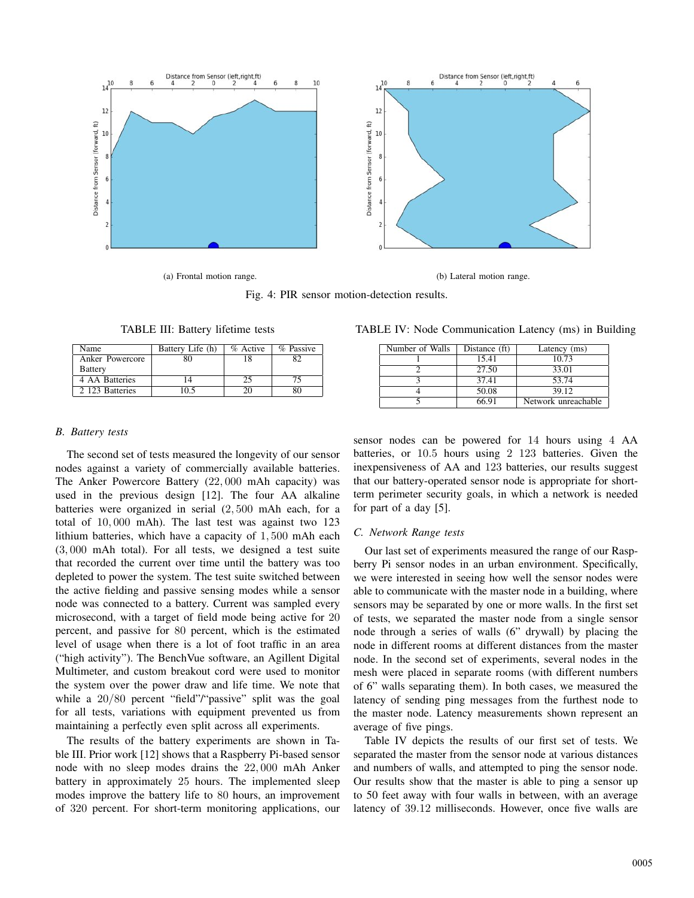

(a) Frontal motion range. (b) Lateral motion range.

Fig. 4: PIR sensor motion-detection results.

TABLE III: Battery lifetime tests

| Name            | Battery Life (h) | % Active | % Passive |
|-----------------|------------------|----------|-----------|
| Anker Powercore |                  |          |           |
| <b>Battery</b>  |                  |          |           |
| 4 AA Batteries  |                  |          |           |
| 2 123 Batteries | 10.5             |          | 80        |

## *B. Battery tests*

The second set of tests measured the longevity of our sensor nodes against a variety of commercially available batteries. The Anker Powercore Battery (22, 000 mAh capacity) was used in the previous design [12]. The four AA alkaline batteries were organized in serial (2, 500 mAh each, for a total of 10, 000 mAh). The last test was against two 123 lithium batteries, which have a capacity of 1, 500 mAh each (3, 000 mAh total). For all tests, we designed a test suite that recorded the current over time until the battery was too depleted to power the system. The test suite switched between the active fielding and passive sensing modes while a sensor node was connected to a battery. Current was sampled every microsecond, with a target of field mode being active for 20 percent, and passive for 80 percent, which is the estimated level of usage when there is a lot of foot traffic in an area ("high activity"). The BenchVue software, an Agillent Digital Multimeter, and custom breakout cord were used to monitor the system over the power draw and life time. We note that while a  $20/80$  percent "field"/"passive" split was the goal for all tests, variations with equipment prevented us from maintaining a perfectly even split across all experiments.

The results of the battery experiments are shown in Table III. Prior work [12] shows that a Raspberry Pi-based sensor node with no sleep modes drains the 22, 000 mAh Anker battery in approximately 25 hours. The implemented sleep modes improve the battery life to 80 hours, an improvement of 320 percent. For short-term monitoring applications, our

TABLE IV: Node Communication Latency (ms) in Building

| Number of Walls | Distance (ft) | Latency (ms)        |
|-----------------|---------------|---------------------|
|                 | 15.41         | 10.73               |
|                 | 27.50         | 33.01               |
|                 | 37.41         | 53.74               |
|                 | 50.08         | 39.12               |
|                 | 66.91         | Network unreachable |

sensor nodes can be powered for 14 hours using 4 AA batteries, or 10.5 hours using 2 123 batteries. Given the inexpensiveness of AA and 123 batteries, our results suggest that our battery-operated sensor node is appropriate for shortterm perimeter security goals, in which a network is needed for part of a day [5].

#### *C. Network Range tests*

Our last set of experiments measured the range of our Raspberry Pi sensor nodes in an urban environment. Specifically, we were interested in seeing how well the sensor nodes were able to communicate with the master node in a building, where sensors may be separated by one or more walls. In the first set of tests, we separated the master node from a single sensor node through a series of walls (6" drywall) by placing the node in different rooms at different distances from the master node. In the second set of experiments, several nodes in the mesh were placed in separate rooms (with different numbers of 6" walls separating them). In both cases, we measured the latency of sending ping messages from the furthest node to the master node. Latency measurements shown represent an average of five pings.

Table IV depicts the results of our first set of tests. We separated the master from the sensor node at various distances and numbers of walls, and attempted to ping the sensor node. Our results show that the master is able to ping a sensor up to 50 feet away with four walls in between, with an average latency of 39.12 milliseconds. However, once five walls are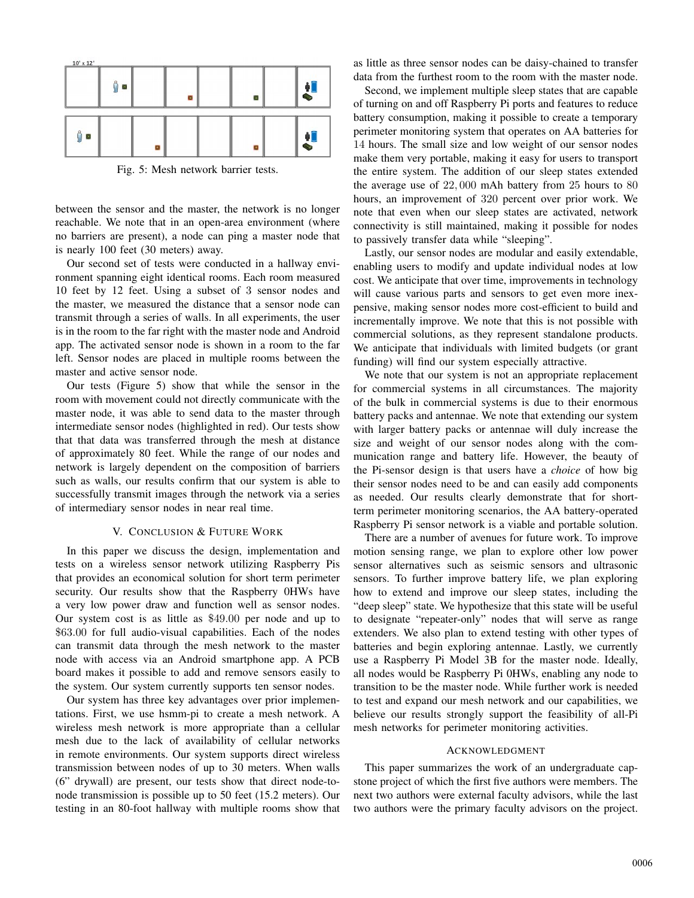

Fig. 5: Mesh network barrier tests.

between the sensor and the master, the network is no longer reachable. We note that in an open-area environment (where no barriers are present), a node can ping a master node that is nearly 100 feet (30 meters) away.

Our second set of tests were conducted in a hallway environment spanning eight identical rooms. Each room measured 10 feet by 12 feet. Using a subset of 3 sensor nodes and the master, we measured the distance that a sensor node can transmit through a series of walls. In all experiments, the user is in the room to the far right with the master node and Android app. The activated sensor node is shown in a room to the far left. Sensor nodes are placed in multiple rooms between the master and active sensor node.

Our tests (Figure 5) show that while the sensor in the room with movement could not directly communicate with the master node, it was able to send data to the master through intermediate sensor nodes (highlighted in red). Our tests show that that data was transferred through the mesh at distance of approximately 80 feet. While the range of our nodes and network is largely dependent on the composition of barriers such as walls, our results confirm that our system is able to successfully transmit images through the network via a series of intermediary sensor nodes in near real time.

#### V. CONCLUSION & FUTURE WORK

In this paper we discuss the design, implementation and tests on a wireless sensor network utilizing Raspberry Pis that provides an economical solution for short term perimeter security. Our results show that the Raspberry 0HWs have a very low power draw and function well as sensor nodes. Our system cost is as little as \$49.00 per node and up to \$63.00 for full audio-visual capabilities. Each of the nodes can transmit data through the mesh network to the master node with access via an Android smartphone app. A PCB board makes it possible to add and remove sensors easily to the system. Our system currently supports ten sensor nodes.

Our system has three key advantages over prior implementations. First, we use hsmm-pi to create a mesh network. A wireless mesh network is more appropriate than a cellular mesh due to the lack of availability of cellular networks in remote environments. Our system supports direct wireless transmission between nodes of up to 30 meters. When walls (6" drywall) are present, our tests show that direct node-tonode transmission is possible up to 50 feet (15.2 meters). Our testing in an 80-foot hallway with multiple rooms show that as little as three sensor nodes can be daisy-chained to transfer data from the furthest room to the room with the master node.

Second, we implement multiple sleep states that are capable of turning on and off Raspberry Pi ports and features to reduce battery consumption, making it possible to create a temporary perimeter monitoring system that operates on AA batteries for 14 hours. The small size and low weight of our sensor nodes make them very portable, making it easy for users to transport the entire system. The addition of our sleep states extended the average use of 22, 000 mAh battery from 25 hours to 80 hours, an improvement of 320 percent over prior work. We note that even when our sleep states are activated, network connectivity is still maintained, making it possible for nodes to passively transfer data while "sleeping".

Lastly, our sensor nodes are modular and easily extendable, enabling users to modify and update individual nodes at low cost. We anticipate that over time, improvements in technology will cause various parts and sensors to get even more inexpensive, making sensor nodes more cost-efficient to build and incrementally improve. We note that this is not possible with commercial solutions, as they represent standalone products. We anticipate that individuals with limited budgets (or grant funding) will find our system especially attractive.

We note that our system is not an appropriate replacement for commercial systems in all circumstances. The majority of the bulk in commercial systems is due to their enormous battery packs and antennae. We note that extending our system with larger battery packs or antennae will duly increase the size and weight of our sensor nodes along with the communication range and battery life. However, the beauty of the Pi-sensor design is that users have a *choice* of how big their sensor nodes need to be and can easily add components as needed. Our results clearly demonstrate that for shortterm perimeter monitoring scenarios, the AA battery-operated Raspberry Pi sensor network is a viable and portable solution.

There are a number of avenues for future work. To improve motion sensing range, we plan to explore other low power sensor alternatives such as seismic sensors and ultrasonic sensors. To further improve battery life, we plan exploring how to extend and improve our sleep states, including the "deep sleep" state. We hypothesize that this state will be useful to designate "repeater-only" nodes that will serve as range extenders. We also plan to extend testing with other types of batteries and begin exploring antennae. Lastly, we currently use a Raspberry Pi Model 3B for the master node. Ideally, all nodes would be Raspberry Pi 0HWs, enabling any node to transition to be the master node. While further work is needed to test and expand our mesh network and our capabilities, we believe our results strongly support the feasibility of all-Pi mesh networks for perimeter monitoring activities.

#### ACKNOWLEDGMENT

This paper summarizes the work of an undergraduate capstone project of which the first five authors were members. The next two authors were external faculty advisors, while the last two authors were the primary faculty advisors on the project.